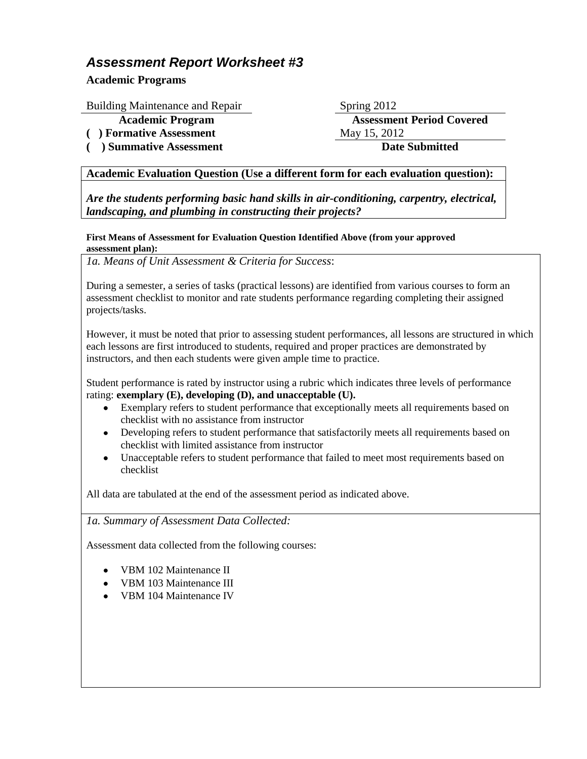## *Assessment Report Worksheet #3*

**Academic Programs**

Building Maintenance and Repair Spring 2012

(a) **Formative Assessment** May 15, 2012

**( ) Summative Assessment Date Submitted**

**Academic Program Assessment Period Covered**

## **Academic Evaluation Question (Use a different form for each evaluation question):**

*Are the students performing basic hand skills in air-conditioning, carpentry, electrical, landscaping, and plumbing in constructing their projects?*

## **First Means of Assessment for Evaluation Question Identified Above (from your approved assessment plan):**

*1a. Means of Unit Assessment & Criteria for Success*:

During a semester, a series of tasks (practical lessons) are identified from various courses to form an assessment checklist to monitor and rate students performance regarding completing their assigned projects/tasks.

However, it must be noted that prior to assessing student performances, all lessons are structured in which each lessons are first introduced to students, required and proper practices are demonstrated by instructors, and then each students were given ample time to practice.

Student performance is rated by instructor using a rubric which indicates three levels of performance rating: **exemplary (E), developing (D), and unacceptable (U).**

- Exemplary refers to student performance that exceptionally meets all requirements based on checklist with no assistance from instructor
- Developing refers to student performance that satisfactorily meets all requirements based on checklist with limited assistance from instructor
- Unacceptable refers to student performance that failed to meet most requirements based on checklist

All data are tabulated at the end of the assessment period as indicated above.

## *1a. Summary of Assessment Data Collected:*

Assessment data collected from the following courses:

- VBM 102 Maintenance II
- VBM 103 Maintenance III
- VBM 104 Maintenance IV